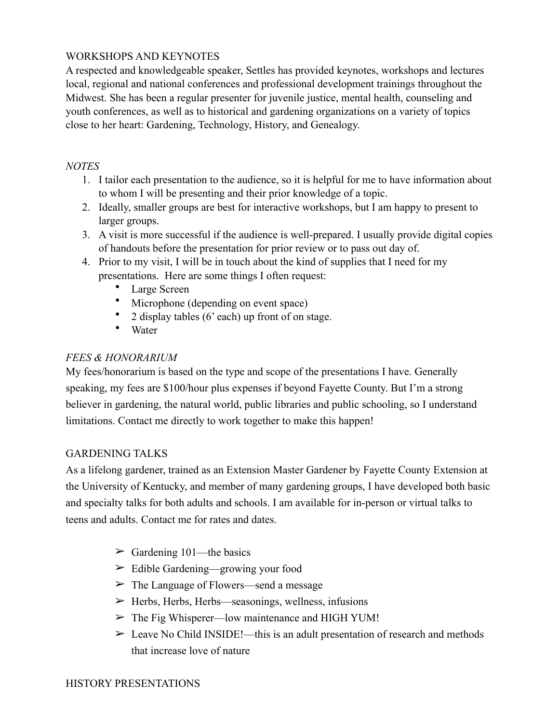# WORKSHOPS AND KEYNOTES

A respected and knowledgeable speaker, Settles has provided keynotes, workshops and lectures local, regional and national conferences and professional development trainings throughout the Midwest. She has been a regular presenter for juvenile justice, mental health, counseling and youth conferences, as well as to historical and gardening organizations on a variety of topics close to her heart: Gardening, Technology, History, and Genealogy.

#### *NOTES*

- 1. I tailor each presentation to the audience, so it is helpful for me to have information about to whom I will be presenting and their prior knowledge of a topic.
- 2. Ideally, smaller groups are best for interactive workshops, but I am happy to present to larger groups.
- 3. A visit is more successful if the audience is well-prepared. I usually provide digital copies of handouts before the presentation for prior review or to pass out day of.
- 4. Prior to my visit, I will be in touch about the kind of supplies that I need for my presentations. Here are some things I often request:
	- Large Screen
	- Microphone (depending on event space)
	- 2 display tables (6' each) up front of on stage.
	- Water

# *FEES & HONORARIUM*

My fees/honorarium is based on the type and scope of the presentations I have. Generally speaking, my fees are \$100/hour plus expenses if beyond Fayette County. But I'm a strong believer in gardening, the natural world, public libraries and public schooling, so I understand limitations. Contact me directly to work together to make this happen!

#### GARDENING TALKS

As a lifelong gardener, trained as an Extension Master Gardener by Fayette County Extension at the University of Kentucky, and member of many gardening groups, I have developed both basic and specialty talks for both adults and schools. I am available for in-person or virtual talks to teens and adults. Contact me for rates and dates.

- $\geq$  Gardening 101—the basics
- $\geq$  Edible Gardening—growing your food
- $\geq$  The Language of Flowers—send a message
- $\triangleright$  Herbs, Herbs, Herbs—seasonings, wellness, infusions
- $\geq$  The Fig Whisperer—low maintenance and HIGH YUM!
- $\geq$  Leave No Child INSIDE!—this is an adult presentation of research and methods that increase love of nature